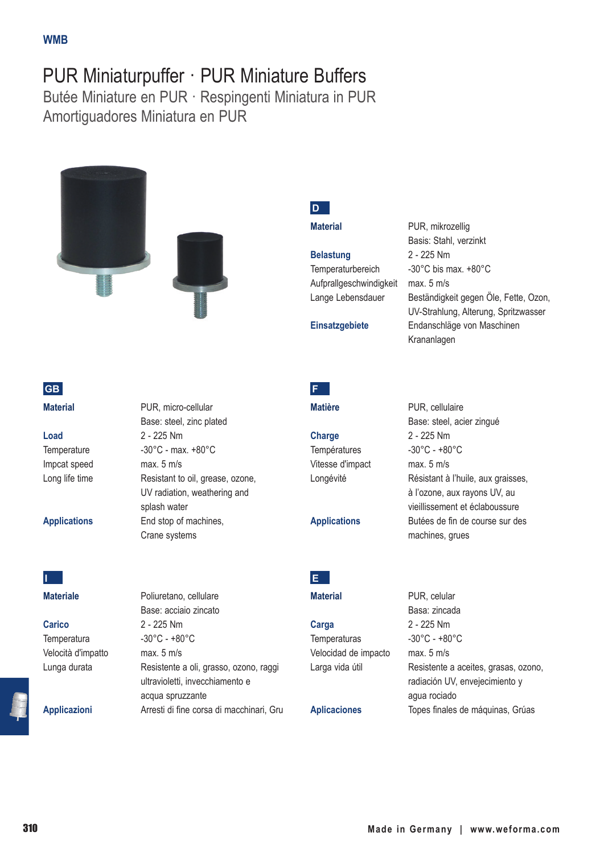## PUR Miniaturpuffer · PUR Miniature Buffers

Butée Miniature en PUR · Respingenti Miniatura in PUR Amortiguadores Miniatura en PUR





**Load** 2 - 225 Nm Impcat speed max. 5 m/s



## **Materiale** Poliuretano, cellulare

**Carico** 2 - 225 Nm Temperatura -30°C - +80°C Velocità d'impatto max. 5 m/s Lunga durata Resistente a oli, grasso, ozono, raggi

**Applicazioni** Arresti di fine corsa di macchinari, Gru

**Material** PUR, micro-cellular Base: steel, zinc plated Temperature -30°C - max. +80°C Long life time Resistant to oil, grease, ozone, UV radiation, weathering and splash water **Applications** End stop of machines, Crane systems

Base: acciaio zincato

acqua spruzzante

ultravioletti, invecchiamento e

**D**

Temperaturbereich -30°C bis max. +80°C Aufprallgeschwindigkeit max. 5 m/s

**Material** PUR, mikrozellig Basis: Stahl, verzinkt **Belastung** 2 - 225 Nm Lange Lebensdauer Beständigkeit gegen Öle, Fette, Ozon, UV-Strahlung, Alterung, Spritzwasser

## **F**

**Charge** 2 - 225 Nm Températures -30°C - +80°C Vitesse d'impact max. 5 m/s

Base: steel, acier zingué Longévité Résistant à l'huile, aux graisses, à l'ozone, aux rayons UV, au vieillissement et éclaboussure **Applications** Butées de fin de course sur des machines, grues

**E**

**Carga** 2 - 225 Nm Temperaturas -30°C - +80°C Velocidad de impacto max. 5 m/s

**Material** PUR, celular Basa: zincada Larga vida útil Resistente a aceites, grasas, ozono, radiación UV, envejecimiento y agua rociado **Aplicaciones** Topes finales de máquinas, Grúas

# **Einsatzgebiete** Endanschläge von Maschinen Krananlagen **Matière** PUR, cellulaire